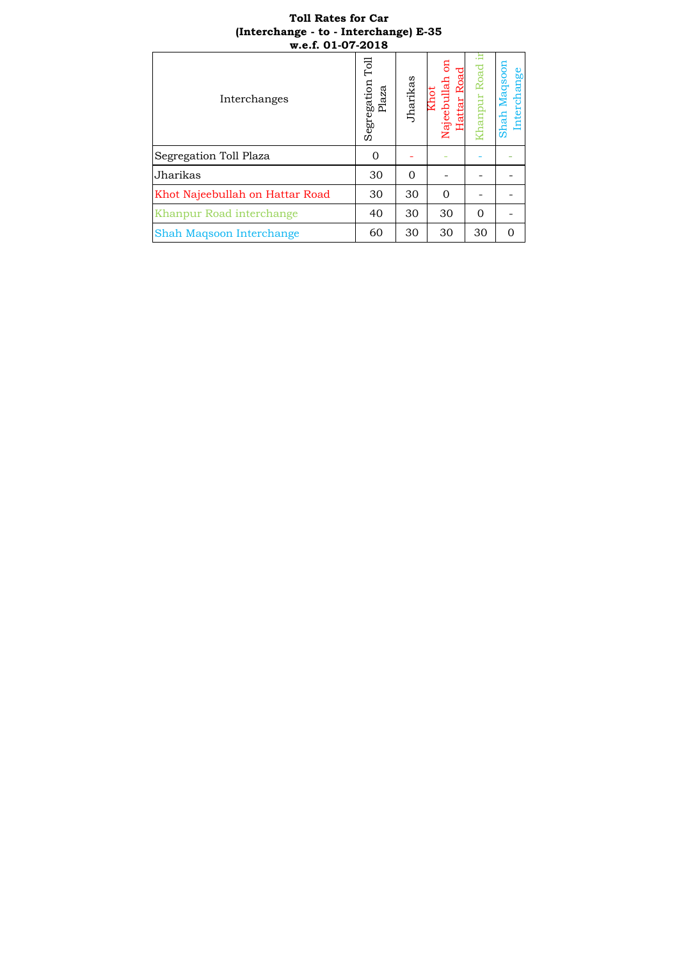## **Toll Rates for Car (Interchange - to - Interchange) E-35 w.e.f. 01-07-2018**

| Toll Rates for Car<br>(Interchange - to - Interchange) E-35<br>w.e.f. 01-07-2018 |                           |          |                                  |             |                             |  |
|----------------------------------------------------------------------------------|---------------------------|----------|----------------------------------|-------------|-----------------------------|--|
| Interchanges                                                                     | Segregation Toll<br>Plaza | Jharikas | attar Roa<br>Najeebullah<br>Chot | hanpur Road | Shah Maqsoon<br>Interchange |  |
| Segregation Toll Plaza                                                           | 0                         |          |                                  |             |                             |  |
| Jharikas                                                                         | 30                        | $\Omega$ |                                  |             |                             |  |
| Khot Najeebullah on Hattar Road                                                  | 30                        | 30       | $\Omega$                         |             |                             |  |
| Khanpur Road interchange                                                         | 40                        | 30       | 30                               | $\Omega$    |                             |  |
| Shah Maqsoon Interchange                                                         | 60                        | 30       | 30                               | 30          | $\Omega$                    |  |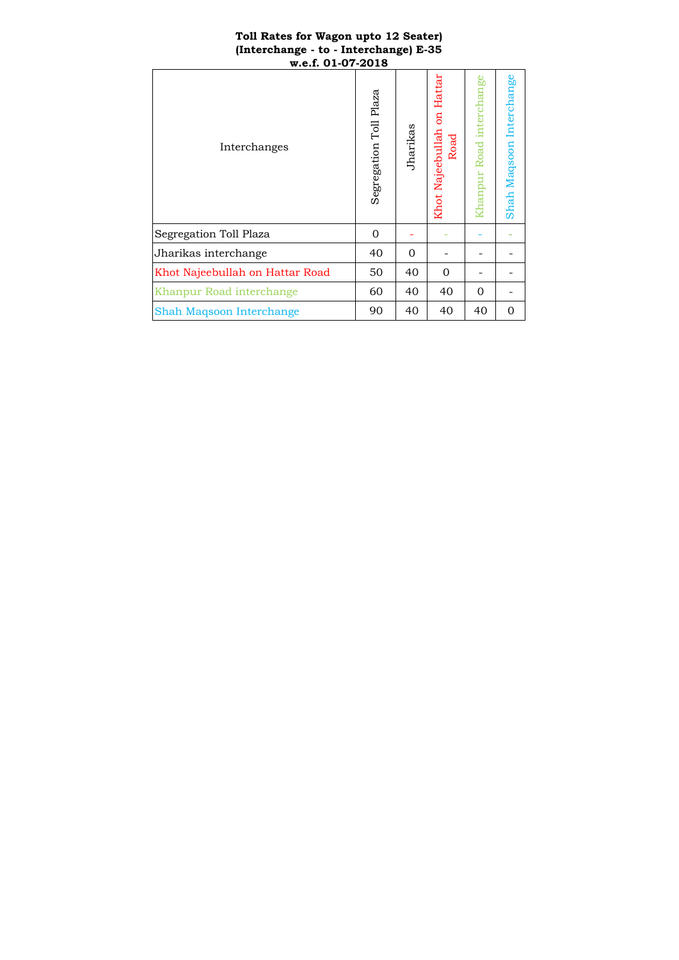#### **Toll Rates for Wagon upto 12 Seater) (Interchange - to - Interchange) E-35 w.e.f. 01-07-2018**

| Interchanges                    | Segregation Toll Plaza | Jharikas | Hattar<br><b>B</b><br>Najeebullah<br>Road<br>Khot: | Khanpur Road interchange | Shah Maqsoon Interchange |
|---------------------------------|------------------------|----------|----------------------------------------------------|--------------------------|--------------------------|
| Segregation Toll Plaza          | $\mathbf{0}$           |          |                                                    |                          |                          |
| Jharikas interchange            | 40                     | $\Omega$ |                                                    |                          |                          |
| Khot Najeebullah on Hattar Road | 50                     | 40       | $\Omega$                                           |                          |                          |
| Khanpur Road interchange        | 60                     | 40       | 40                                                 | $\Omega$                 |                          |
| Shah Maqsoon Interchange        | 90                     | 40       | 40                                                 | 40                       | 0                        |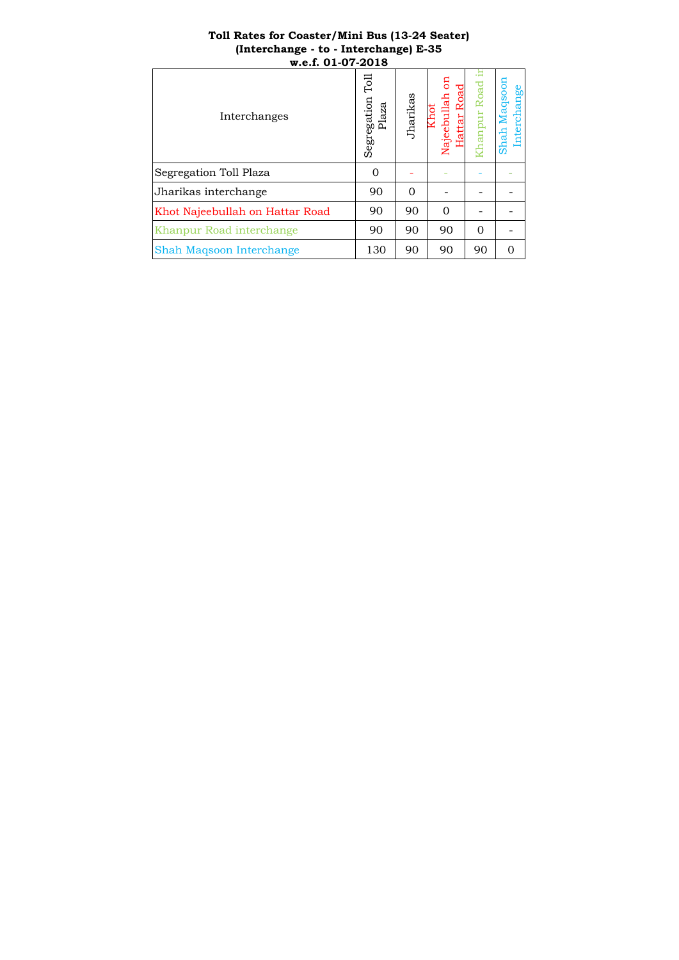## **Toll Rates for Coaster/Mini Bus (13-24 Seater) (Interchange - to - Interchange) E-35 w.e.f. 01-07-2018**

| Toll Rates for Coaster/Mini Bus (13-24 Seater)<br>(Interchange - to - Interchange) E-35<br>w.e.f. 01-07-2018 |                             |          |                          |           |                             |  |
|--------------------------------------------------------------------------------------------------------------|-----------------------------|----------|--------------------------|-----------|-----------------------------|--|
| Interchanges                                                                                                 | Гоl<br>Segregation<br>Plaza | Jharikas | attar Roa<br>Najeebullah | anpur Roa | Shah Maqsoon<br>Interchange |  |
| Segregation Toll Plaza                                                                                       | 0                           |          |                          |           |                             |  |
| Jharikas interchange                                                                                         | 90                          | $\Omega$ |                          |           |                             |  |
| Khot Najeebullah on Hattar Road                                                                              | 90                          | 90       | $\Omega$                 |           |                             |  |
| Khanpur Road interchange                                                                                     | 90                          | 90       | 90                       | $\Omega$  |                             |  |
| Shah Maqsoon Interchange                                                                                     | 130                         | 90       | 90                       | 90        | $\Omega$                    |  |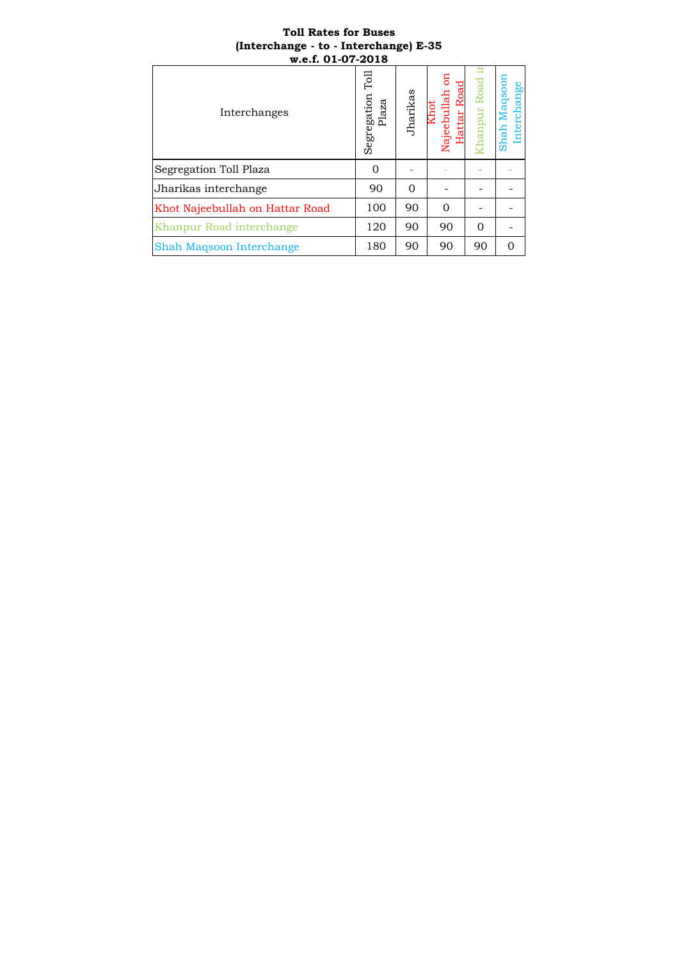# **Toll Rates for Buses (Interchange - to - Interchange) E-35 w.e.f. 01-07-2018**

| <b>Toll Rates for Buses</b><br>(Interchange - to - Interchange) E-35<br>w.e.f. 01-07-2018 |                             |          |                           |            |                             |  |  |
|-------------------------------------------------------------------------------------------|-----------------------------|----------|---------------------------|------------|-----------------------------|--|--|
| Interchanges                                                                              | ΓοΙ<br>Segregation<br>Plaza | Jharikas | Hattar Roa<br>Najeebullah | hanpur Roa | Shah Maqsoon<br>Interchange |  |  |
| Segregation Toll Plaza                                                                    | $\Omega$                    |          |                           |            |                             |  |  |
| Jharikas interchange                                                                      | 90                          | $\Omega$ |                           |            |                             |  |  |
| Khot Najeebullah on Hattar Road                                                           | 100                         | 90       | $\Omega$                  |            |                             |  |  |
| Khanpur Road interchange                                                                  | 120                         | 90       | 90                        | $\Omega$   |                             |  |  |
| Shah Maqsoon Interchange                                                                  | 180                         | 90       | 90                        | 90         | $\Omega$                    |  |  |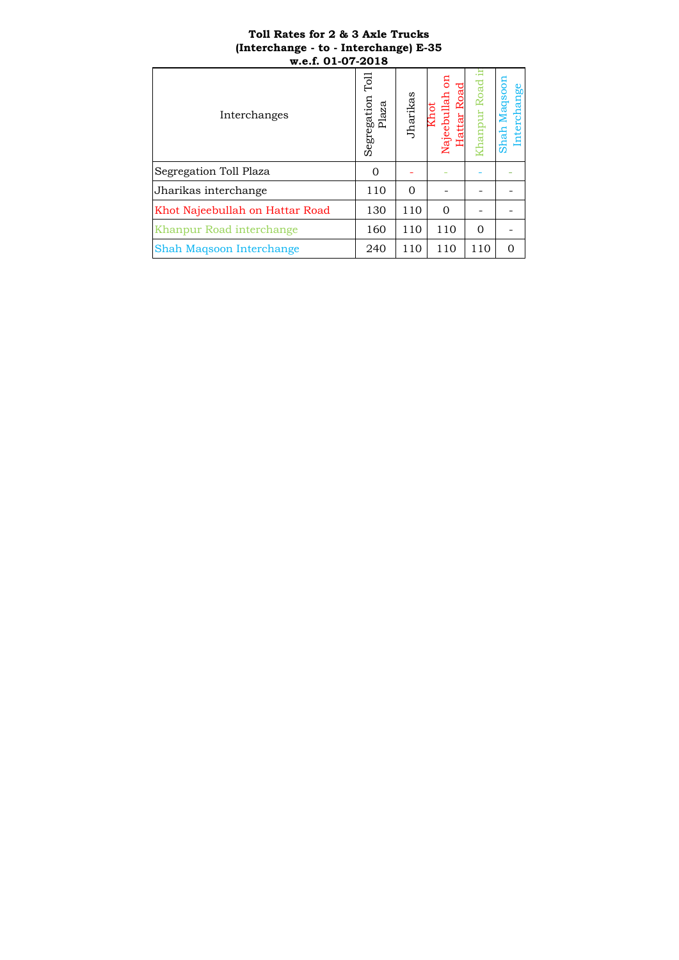## **Toll Rates for 2 & 3 Axle Trucks (Interchange - to - Interchange) E-35 w.e.f. 01-07-2018**

| Toll Rates for 2 & 3 Axle Trucks<br>(Interchange - to - Interchange) E-35<br>w.e.f. 01-07-2018 |                            |          |                         |             |                             |  |
|------------------------------------------------------------------------------------------------|----------------------------|----------|-------------------------|-------------|-----------------------------|--|
| Interchanges                                                                                   | Го<br>Segregation<br>Plaza | Jharikas | Najeebullah<br>attar Ro | hanpur Road | Shah Maqsoon<br>Interchange |  |
| Segregation Toll Plaza                                                                         | $\Omega$                   |          |                         |             |                             |  |
| Jharikas interchange                                                                           | 110                        | $\Omega$ |                         |             |                             |  |
| Khot Najeebullah on Hattar Road                                                                | 130                        | 110      | $\Omega$                |             |                             |  |
| Khanpur Road interchange                                                                       | 160                        | 110      | 110                     | $\Omega$    |                             |  |
| Shah Maqsoon Interchange                                                                       | 240                        | 110      | 110                     | 110         | $\Omega$                    |  |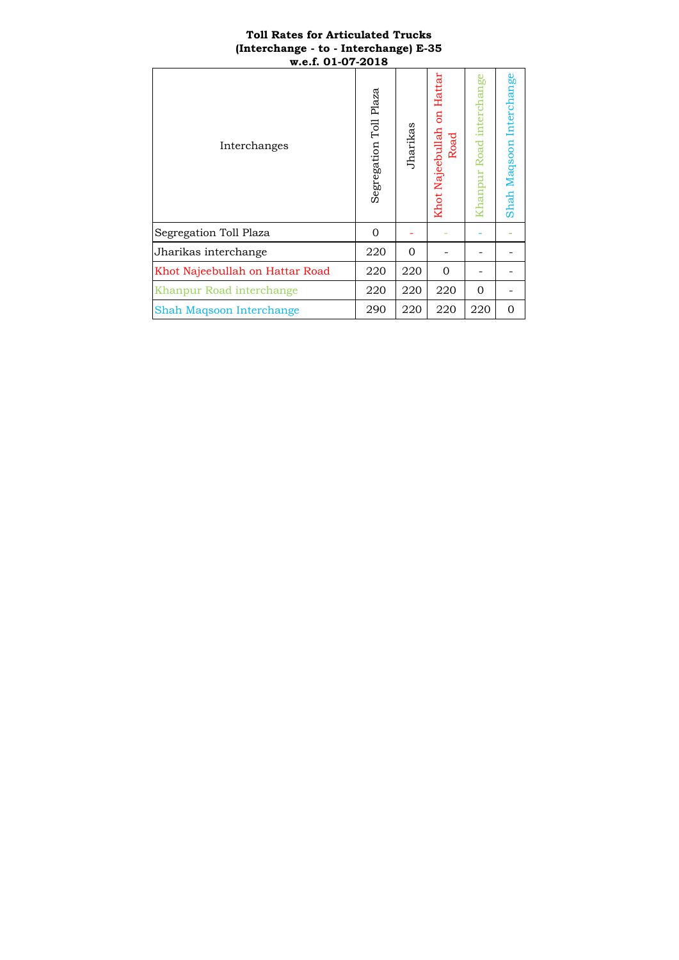# **Toll Rates for Articulated Trucks (Interchange - to - Interchange) E-35 w.e.f. 01-07-2018**

| Interchanges                    | Segregation Toll Plaza | Jharikas | Hattar<br><b>B</b><br>Khot Najeebullah<br>Road | Khanpur Road interchange | Shah Maqsoon Interchange |
|---------------------------------|------------------------|----------|------------------------------------------------|--------------------------|--------------------------|
| Segregation Toll Plaza          | $\Omega$               |          |                                                |                          |                          |
| Jharikas interchange            | 220                    | $\Omega$ |                                                |                          |                          |
| Khot Najeebullah on Hattar Road | 220                    | 220      | $\Omega$                                       |                          |                          |
| Khanpur Road interchange        | 220                    | 220      | 220                                            | $\Omega$                 |                          |
| Shah Maqsoon Interchange        | 290                    | 220      | 220                                            | 220                      | $\Omega$                 |